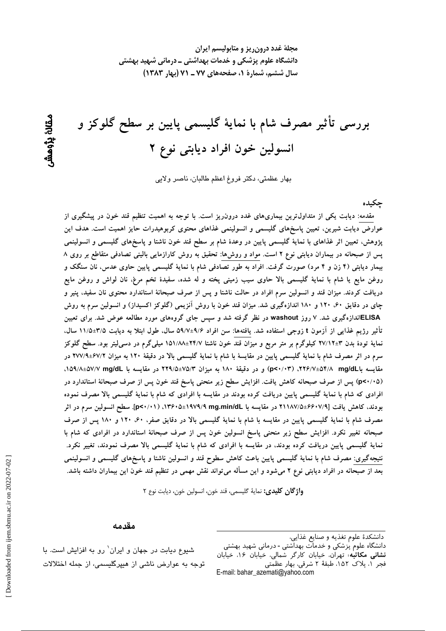مجلهٔ غدد درون ریز و متابولیسم ایران دانشگاه علوم پزشکی و خدمات بهداشتی ــ درمانی شهید بهشتی سال ششم، شمارة 1، صفحههای ۷۷ ـ ۷۱ (بهار ۱۳۸۳)

بررسی تأثیر مصرف شام با نمایهٔ گلیسمی پایین بر سطح گلوکز و انسولین خون افراد دیابتی نوع ۲

بهار عظمتي، دكتر فروغ اعظم طالبان، ناصر ولايي

جكىدە

مقدمه: دیابت یکی از متداول ترین بیماریهای غدد درون٫یز است. با توجه به اهمیت تنظیم قند خون در پیشگیری از عوارض دیابت شیرین، تعیین پاسخهای گلیسمی و انسولینمی غذاهای محتوی کربوهیدرات حایز اهمیت است. هدف این پژوهش، تعیین اثر غذاهای با نمایهٔ گلیسمی پایین در وعدهٔ شام بر سطح قند خون ناشتا و پاسخهای گلیسمی و انسولینمی پس از صبحانه در بیماران دیابتی نوع ۲ است. مواد و روشها: تحقیق به روش کارازمایی بالینی تصادفی متقاطع بر روی ۸ بیمار دیابتی (۴ زن و ۴ مرد) صورت گرفت. افراد به طور تصادفی شام با نمایهٔ گلیسمی پایین حاوی عدس، نان سنگک و روغن مایع یا شام با نمایهٔ گلیسمی بالا حاوی سیب زمینی پخته و له شده، سفیدهٔ تخم مرغ، نان لواش و روغن مایع دریافت کردند. میزان قند و انسولین سرم افراد در حالت ناشتا و پس از صرف صبحانهٔ استاندارد محتوی نان سفید، پنیر و چای در دقایق ۶۰، ۱۲۰ و ۱۸۰ اندازهگیری شد. میزان قند خون با روش آنزیمی (گلوکز اکسیداز) و انسولین سرم به روش ELISAاندازهگیری شد. ۷ روز washout در نظر گرفته شد و سپس جای گروههای مورد مطالعه عوض شد. برای تعیین تأثیر رژیم غذایی از آزمون t زوجی استفاده شد. یافتهها: سن افراد ۹/۶±۵۹/۷ سال، طول ابتلا به دیابت ۳/۵±۱۱/۵ سال، نمایهٔ تودهٔ بدن ۳±۲۷/۱۲ کیلوگرم بر متر مربع و میزان قند خون ناشتا ۲۴/۷±۱۵۱/۸۸ میلیگرم در دسمیلیتر بود. سطح گلوکز سرم در اثر مصرف شام با نمایهٔ گلیسمی پایین در مقایسهٔ با شام با نمایهٔ گلیسمی بالا در دقیقهٔ ۱۲۰ به میزان ۶۷/۹±۶۷/۹ در مقایسه باسل ۴/۸/۴۵۴/۸ mg/dL ) و در دقیقهٔ ۱۸۰ به میزان ۷۵/۴-۲۹/۵ در مقایسه با ۵۷/۲-۵۷/۸±۵۷/۸، (p<۰/۰۵) پس از صرف صبحانه کاهش یافت. افزایش سطح زیر منحنی پاسخ قند خون پس از صرف صبحانهٔ استاندارد در افرادی که شام با نمایهٔ گلیسمی پایین دریافت کرده بودند در مقایسه با افرادی که شام با نمایهٔ گلیسمی بالا مصرف نموده بودند، كاهش يافت [4/٧/٤٤-٧١١٨٧هـ در مقايسه با ١٩٧٩/٩ mg.min/dLهـ١٣۶٠هـ (١٣۶٠-٥). سطح انسولين سرم در اثر مصرف شام با نمایهٔ گلیسمی پایین در مقایسه با شام با نمایهٔ گلیسمی بالا در دقایق صفر، ۶۰، ۱۲۰ و ۱۸۰ پس از صرف صبحانه تغییر نکرد. افزایش سطح زیر منحنی پاسخ انسولین خون پس از صرف صبحانهٔ استاندارد در افرادی که شام با نمایهٔ گلیسمی پایین دریافت کرده بودند، در مقایسه با افرادی که شام با نمایهٔ گلیسمی بالا مصرف نمودند، تغییر نکرد. نتیجهگیری: مصرف شام با نمایهٔ گلیسمی پایین باعث کاهش سطوح قند و انسولین ناشتا و پاسخهای گلیسمی و انسولینمی بعد از صبحانه در افراد دیابتی نوع ۲ میشود و این مسأله میتواند نقش مهمی در تنظیم قند خون این بیماران داشته باشد.

واژگان كليدي: نمايهٔ گليسمي، قند خون، انسولين خون، ديابت نوع ٢

#### مقدمه

دانشگاه علوم <sub>ب</sub>زشکی و خدمات بهداشتی - درمانی شهید بهشتی<br>**دانشگاه علوم** پزشکی و خدمات بهداشتی - درمانی شهید بهشتی فجر ١، بلاک ١٥٢، طبقة ٢ شرقي، بهار عظمتي E-mail: bahar\_azemati@yahoo.com

شیوع دیابت در جهان و ایران' رو به افزایش است. با توجه به عوارض ناشی از هیپرگلیسمی، از جمله اختلالات

ىقانۇ يۆھش

دانشكدهٔ علوم تغذیه و صنایع غذایی،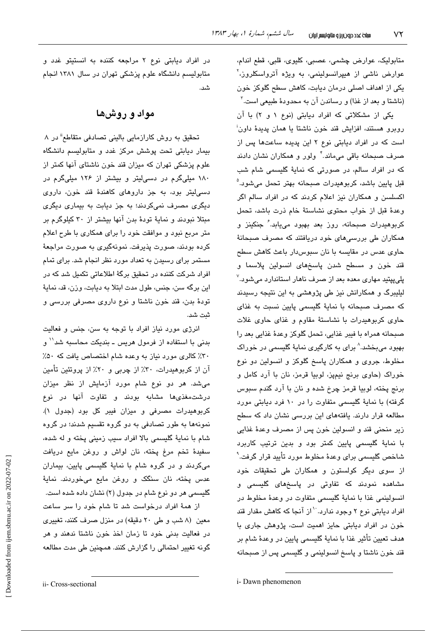متابولیک، عوارض چشمی، عصبی، کلیوی، قلبی، قطع اندام، عوارض ناشی از هیپرانسولینمی، به ویژه آترواسکلروز،<sup>۲</sup> یکی از اهداف اصلی درمان دیابت، کاهش سطح گلوکز خون (ناشتا و بعد از غذا) و رساندن آن به محدودهٔ طبیعی است.<sup>۳</sup>

یکی از مشکلاتی که افراد دیابتی (نوع ۱ و ۲) با آن روبرو هستند، افزایش قند خون ناشتا یا همان پدیدهٔ داون<sup>:</sup> است که در افراد دیابتی نوع ۲ این پدیده ساعتها پس از صرف صبحانه باقی میماند. ٔ ولور و همکاران نشان دادند که در افراد سالم، در صورتی که نمایهٔ گلیسمی شام شب قبل پايين باشد، کربوهيدرات صبحانه بهتر تحمل میشود.<sup>۵</sup> اکسلسن و همکاران نیز اعلام کردند که در افراد سالم اگر وعدهٔ قبل از خواب محتوى نشاستهٔ خام ذرت باشد، تحمل کربوهیدرات صبحانه، روز بعد بهبود می<u>پ</u>ابد. *ٔ* جنکینز و همکاران طی بررسیهای خود دریافتند که مصرف صبحانهٔ حاوی عدس در مقایسه با نان سبوسدار باعث کاهش سطح قند خون و مسطح شدن پاسخهای انسولین پلاسما و پلیپیتید مهاری معده بعد از صرف ناهار استاندارد میشود.<sup>۷</sup> لیلیبرگ و همکارانش نیز طی پژوهشی به این نتیجه رسیدند كه مصرف صبحانه با نماية گليسمى پايين نسبت به غذاى حاوی کربوهیدرات با نشاستهٔ مقاوم و غذای حاوی غلات صبحانه همراه يا فيبر غذايي، تحمل گلوكز وعدهٔ غذايي بعد را بهبود میبخشد.^ برای به کارگیری نمایهٔ گلیسمی در خوراک مخلوط، جروی و همکاران پاسخ گلوکز و انسولین دو نوع خوراک (حاوی برنج نیمپز، لوبیا قرمز، نان با آرد کامل و برنج پخته، لوبيا قرمز چرخ شده و نان با آرد گندم سبوس گرفته) با نمایهٔ گلیسمی متفاوت را در ۱۰ فرد دیابتی مورد مطالعه قرار دارند. یافتههای این بررسی نشان داد که سطح زير منحني قند و انسولين خون پس از مصرف وعدهٔ غذايي با نمایهٔ گلیسمی پایین کمتر بود و بدین ترتیب کاربرد شاخص گلیسمی برای وعدهٔ مخلوط مورد تأیید قرار گرفت.<sup>۹</sup> از سوی دیگر کولستون و همکاران طی تحقیقات خود مشاهده نمودند که تفاوتی در پاسخهای گلیسمی و انسولینمی غذا با نمایهٔ گلیسمی متفاوت در وعدهٔ مخلوط در افراد دیابتی نوع ۲ وجود ندارد.<sup>۱۰</sup>از آنجا که کاهش مقدار قند خون در افراد دیابتی حایز اهمیت است، پژوهش جاری با هدف تعیین تأثیر غذا با نمایهٔ گلیسمی پایین در وعدهٔ شام بر قند خون ناشتا و پاسخ انسولینمی و گلیسمی پس از صبحانه

در افراد دیابتی نوع ۲ مراجعه کننده به انستیتو غدد و متابولیسم دانشگاه علوم پزشکی تهران در سال ۱۳۸۱ انجام شد.

## مواد و روشها

تحقیق به روش کارازمایی بالینی تصادفی متقاطع<sup>ة</sup> در ۸ بیمار دیابتی تحت پوشش مرکز غدد و متابولیسم دانشگاه علوم پزشکی تهران که میزان قند خون ناشتای آنها کمتر از ۱۸۰ میلیگرم در دسیلیتر و بیشتر از ۱۲۶ میلیگرم در دسی!یتر بود، به جز داروهای کاهندهٔ قند خون، داروی دیگری مصرف نمیکردند؛ به جز دیابت به بیماری دیگری مبتلا نبودند و نمایهٔ تودهٔ بدن آنها بیشتر از ۳۰ کیلوگرم بر متر مربع نبود و موافقت خود را برای همکاری با طرح اعلام كرده بودند، صورت پذیرفت. نمونهگیری به صورت مراجعهٔ مستمر برای رسیدن به تعداد مورد نظر انجام شد. برای تمام افراد شرکت کننده در تحقیق برگهٔ اطلاعاتی تکمیل شد که در این برگه سن، جنس، طول مدت ابتلا به دیابت، وزن، قد، نمایهٔ تودهٔ بدن، قند خون ناشتا و نوع داروی مصرفی بررسی و ثىت شد.

انرژی مورد نیاز افراد با توجه به سن، جنس و فعالیت بدنی با استفاده از فرمول هریس ــ بندیکت محاسبه شد<sup>۱٬</sup> و ۳۰٪ کالری مورد نیاز به وعده شام اختصاص یافت که ۵۰٪ آن از کربوهیدرات، ۳۰٪ از چربی و ۲۰٪ از پروتئین تأمین می شد. هر دو نوع شام مورد آزمایش از نظر میزان درشت مغذی ها مشابه بودند و تفاوت آنها در نوع كربوهيدرات مصرفى و ميزان فيبر كل بود (جدول ١). نمونهها به طور تصادفی به دو گروه تقسیم شدند؛ در گروه شام با نمايهٔ گلیسمی بالا افراد سبب زمینی پخته و له شده، سفيدةً تخم مرغ پخته، نان لواش و روغن مايع دريافت میکردند و در گروه شام با نمایهٔ گلیسمی پایین، بیماران عدس يخته، نان سنگک و روغن مايع میخوردند. نمايۀ گلیسمی هر دو نوع شام در جدول (۲) نشان داده شده است.

از همهٔ افراد درخواست شد تا شام خود را سر ساعت معین (۸ شب و طی ۲۰ دقیقه) در منزل صرف کنند، تغییری در فعالیت بدنی خود تا زمان اخذ خون ناشتا ندهند و هر گونه تغییر احتمالی را گزارش کنند. همچنین طی مدت مطالعه

i- Dawn phenomenon

Downloaded from ijem.sbmu.ac.ir on 2022-07-02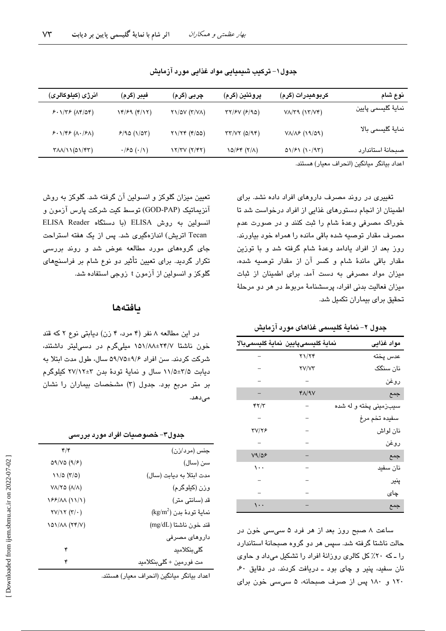| نوع شام                                                                                                                           | كربوهيدرات (گرم)             | پروتئين (گرم)             | چربی (گرم)                | فيبر (گرم)                    | انرژی (کیلوکالری)                                         |
|-----------------------------------------------------------------------------------------------------------------------------------|------------------------------|---------------------------|---------------------------|-------------------------------|-----------------------------------------------------------|
| نمايۀ گليسمى پايين                                                                                                                | $V_A/Y$ ۹ $(VY/V)$           | TY/fV (F/90)              | $Y1/\Delta V (Y/VA)$      | 14/59 (4/17)                  | $5.1/75 (AF/\Delta f)$                                    |
| نماية گليسمى بالا                                                                                                                 | $V\Lambda/\Lambda$ ۶ (19/09) | $\tau\tau/\nu\tau$ (0/94) | $Y1/Yf (f/\Delta \Delta)$ | 9/90(1/07)                    | 5.1795 (A.79A)                                            |
| صبحانة استاندارد                                                                                                                  | $01/F1$ $(1.47)$             | 10/۶۴ (۲/۸)               | Y/YY(Y Y)                 | $\cdot$ /۶۵ $(\cdot/\Lambda)$ | $T\Lambda\Lambda/\Lambda(\Delta\Lambda/\Upsilon\Upsilon)$ |
| $\mathbf{1}$ $\mathbf{1}$ $\mathbf{1}$ $\mathbf{1}$ $\mathbf{2}$ $\mathbf{1}$ $\mathbf{2}$ $\mathbf{1}$ $\mathbf{1}$ $\mathbf{1}$ |                              |                           |                           |                               |                                                           |

جدول ۱– ترکیب شیمیایی مواد غذایی مورد آزمایش

اعداد بيانگر ميانگين (انحراف معيار) هستند.

تغییری در روند مصرف داروهای افراد داده نشد. برای اطمینان از انجام دستورهای غذایی از افراد درخواست شد تا خوراک مصرفی وعدهٔ شام را ثبت کنند و در صورت عدم مصرف مقدار توصيه شده باقی مانده را همراه خود بياورند. روز بعد از افراد یادامد وعدهٔ شام گرفته شد و با توزین مقدار باقی ماندهٔ شام و کسر آن از مقدار توصیه شده، میزان مواد مصرفی به دست آمد. برای اطمینان از ثبات میزان فعالیت بدنی افراد، پرسشنامهٔ مربوط در هر دو مرحلهٔ تحقیق برای بیماران تکمیل شد.

جدول ٢– نمايةً گليسمى غذاهاى مورد آزمايش

|              | نماية كليسمىپايين نماية كليسمىبالا | مواد غذايى             |
|--------------|------------------------------------|------------------------|
|              | ۲۱/۲۴                              | عدس پخته               |
|              | <b>TV/VT</b>                       | نان سنگک               |
|              |                                    | روغن                   |
|              | $Y\Lambda$ /9 $V$                  | جمع                    |
| ۴۲/۳         |                                    | سیبزمینی پخته و له شده |
|              |                                    | سفيده تخم مرغ          |
| <b>TV/78</b> |                                    | نان لواش               |
|              |                                    | روغن                   |
| V9/28        |                                    | جمع                    |
| $\cdots$     |                                    | نان سفيد               |
|              |                                    | پنیر                   |
|              |                                    | چای                    |
|              |                                    | جمع                    |

ساعت ۸ صبح روز بعد از هر فرد ۵ سی سی خون در حالت ناشتا گرفته شد. سپس هر دو گروه صبحانهٔ استاندارد را ـ که ۲۰٪ کل کالری روزانهٔ افراد را تشکیل میداد و حاوی نان سفيد، پنير و چای بود ـ دريافت کردند. در دقايق ۶۰، ۱۲۰ و ۱۸۰ پس از صرف صبحانه، ۵ سی سی خون برای

تعیین میزان گلوکز و انسولین آن گرفته شد. گلوکز به روش آنزیماتیک (GOD-PAP) توسط کیت شرکت پارس آزمون و انسولین به روش ELISA (با دستگاه ELISA Reader Tecan اتریش) اندازهگیری شد. پس از یک هفته استراحت جای گروههای مورد مطالعه عوض شد و روند بررسی تکرار گردید. برای تعیین تأثیر دو نوع شام بر فراسنجهای گلوکز و انسولین از آزمون t زوجی استفاده شد.

### بافتهها

در این مطالعه ۸ نفر (۴ مرد، ۴ زن) دیابتی نوع ۲ که قند خون ناشتا ۲۴/۷±۱۵۱/۸۸ میلیگرم در دسیلیتر داشتند، شرکت کردند. سن افراد ۹/۶±۵۹/۷۵ سال، طول مدت ابتلا به دیابت ۲/۵±۱/۱۵ سال و نمایهٔ تودهٔ بدن ۳±۲۷/۱۲ کیلوگرم بر متر مربع بود. جدول (٣) مشخصات بیماران را نشان مى دهد.

| جدول۳– خصوصیات افراد مورد بررسے |  |  |
|---------------------------------|--|--|
|---------------------------------|--|--|

| جنس (مرد/زن)                       | $\mathfrak{r}/\mathfrak{r}$                 |
|------------------------------------|---------------------------------------------|
| سن (سال)                           | 09/VO (9/5)                                 |
| مدت ابتلا به ديابت (سال)           | 11/2 (r/2)                                  |
| وزن (کیلوگرم)                      | $V\Lambda/Y$ ۵ ( $\Lambda/\Lambda$ )        |
| قد (سانتی متر)                     | 188/11 (11/1)                               |
| $\text{(kg/m}^2)$ نمايهٔ تودهٔ بدن | $\mathsf{YV}/\mathsf{YY}(\mathsf{Y}/\cdot)$ |
| قند خون ناشتا (mg/dL)              | 101/11 (TP/V)                               |
| داروهای مصرفی                      |                                             |
| گلیبنکلامید                        | ۴                                           |
| مت فورمين + گليېنکلاميد            | ۴                                           |
|                                    |                                             |

اعداد بيانگر ميانگين (انحراف معيار) هستند.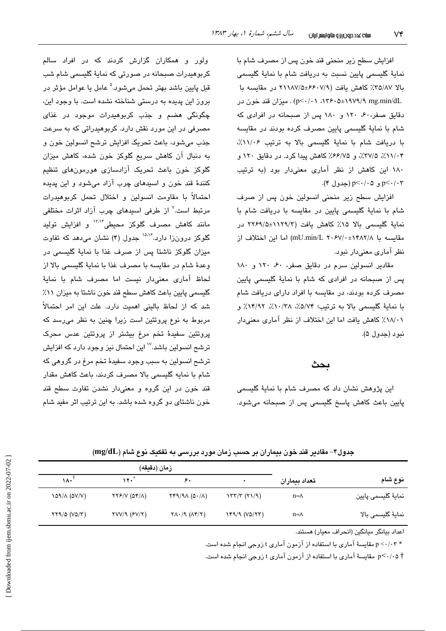افزایش سطح زیر منحنی قند خون پس از مصرف شام با نماية گليسمي پايين نسبت به دريافت شام با نماية گليسمي بالا ٣٥/٨٧٪ كاهش يافت (٧/٩-۶۶٠٧هـ ٢١١٨٧/٥ در مقايسه با n۳۶۰۵±۱۹۷۹/۹ mg.min/dL) . میزان قند خون در دقایق صفر، ۶۰، ۱۲۰ و ۱۸۰ پس از صبحانه در افرادی که شام با نمايهٔ گلیسمی پایین مصرف کرده بودند در مقایسه با دریافت شام با نمایهٔ گلیسمی بالا به ترتیب ١١/٠۶٪، ۰٬۲۷/۰۴٪، ۲۷/۵٪، و ۶۶/۷۵٪ کاهش پیدا کرد. در دقایق ۱۲۰ و ١٨٠ اين كاهش از نظر آمارى معنى دار بود (به ترتيب p<٠/٠٣ و p<٠/٠٥ (جدول ۴).

افزایش سطح زیر منحنی انسولین خون پس از صرف شام با نمایهٔ گلیسمی پایین در مقایسه با دریافت شام با نماية گليسمى بالا ١۵٪ كاهش يافت (١١٢٩/٥±٢٢۶٩/٥ در مقايسه با \mU.min/L ۲۰۶۷/۰±۱۴۸۲/۸) اما اين اختلاف از نظر آماری معنیدار نبود.

مقادیر انسولین سرم در دقایق صفر، ۴۰، ۱۲۰ و ۱۸۰ یس از صبحانه در افرادی که شام با نمایهٔ گلیسمی پایین مصرف کرده بودند، در مقابسه با افراد دارای دریافت شام با نماية گليسمي بالا به ترتيب؛ ٥/٧۴٪، ١٣/٩٢٪، ١٣/٩٢٪ و ٠١٨/٠٪ كاهش يافت اما اين اختلاف از نظر آماري معنى دار نيو د (حدول ۵).

#### بحث

این پژوهش نشان داد که مصرف شام با نمایهٔ گلیسمی پایین باعث کاهش پاسخ گلیسمی پس از صبحانه میشود.

ولور و همکاران گزارش کردند که در افراد سالم کربوهیدرات صبحانه در صورتی که نمایهٔ گلیسمی شام شب قبل پايين باشد بهتر تحمل مي شود.<sup>۵</sup> عامل يا عوامل مؤثر در بروز این پدیده به درستی شناخته نشده است. با وجود این، چگونگی هضم و جذب کربوهیدرات موجود در غذای مصرفی در این مورد نقش دارد. کربوهیدراتی که به سرعت جذب میشود، باعث تحریک افزایش ترشح انسولین خون و به دنبال آن کاهش سریع گلوکز خون شده، کاهش میزان گلوکز خون باعث تحریک آزادسازی هورمونهای تنظیم کنندهٔ قند خون و اسیدهای چرب آزاد میشود و این پدیده احتمالاً با مقاومت انسولین و اختلال تحمل کربوهیدرات مرتبط است.<sup>۷</sup> از طرفی اسید*ه*ای چرب آزاد اثرات مختلفی مانند کاهش مصرف گلوکز محیطی<sup>۱۳،۱۴</sup> و افزایش تولید گلوکز درونزا دارد.<sup>۱۵،۱۶</sup> جدول (۴) نشان میدهد که تفاوت میزان گلوکز ناشتا پس از صرف غذا یا نمایهٔ گلسیمی در وعدة شام در مقايسه با مصرف غذا با نماية گليسمي بالا از لحاظ آماری معنیدار نیست اما مصرف شام با نمایهٔ گلسیمی پایین باعث کاهش سطح قند خون ناشتا به میزان ۱۱٪ شد که از لحاظ بالینی اهمیت دارد. علت این امر احتمالاً مربوط به نوع پروتئین است زیرا چنین به نظر میرسد که پروتئین سفیدهٔ تخم مرغ بیشتر از پروتئین عدس محرک ترشح انسولین باشد.<sup>۱۷</sup> این احتمال نیز وجود دارد که افزایش ترشح انسولین به سبب وجود سفیدهٔ تخم مرغ در گروهی که شام با نمايه گليسمي بالا مصرف كردند، باعث كاهش مقدار قند خون در این گروه و معنیدار نشدن تفاوت سطح قند خون ناشتای دو گروه شده باشد. به این ترتیب اثر مفید شام

جدول۴– مقادیر قند خون بیماران بر حسب زمان مورد بررسی به تفکیک نوع شام (mg/dL)

|                    |               | زمان (دقيقه)                   |                                                                 |                                                        |              |  |
|--------------------|---------------|--------------------------------|-----------------------------------------------------------------|--------------------------------------------------------|--------------|--|
| نوع شام            | تعداد بيماران |                                | ۶,                                                              | * ۱۲۰                                                  | ١٨٠          |  |
| نمايۀ گليسمى پايين | $n = \Lambda$ | $\frac{1}{\sqrt{2}}$           | $\gamma$ $(0.1)$                                                | $\gamma \gamma$ / $\gamma$ ( $\Delta \gamma/\Lambda$ ) | 109/A (DV/V) |  |
| نماية گليسمى بالا  | $n = \Lambda$ | $Y^{\alpha}/9 (V^{\alpha}/77)$ | $\Upsilon\Lambda$ $\cdot$ /9 $(\Lambda$ $\Upsilon$ $/\Upsilon)$ | $\text{YVV}$ ( $\text{FV}$ / $\text{Y}$ )              | YY9/2 (V2/T) |  |

اعداد بيانگر مبانگين (انجراف معيار) هستند.

\* p <-/·۳ مقایسهٔ آماری با استفاده از آزمون آماری t زوجی انجام شده است.

† p<٠/٠۵ مقایسهٔ آماری با استفاده از آزمون آماری t زوجی انجام شده است.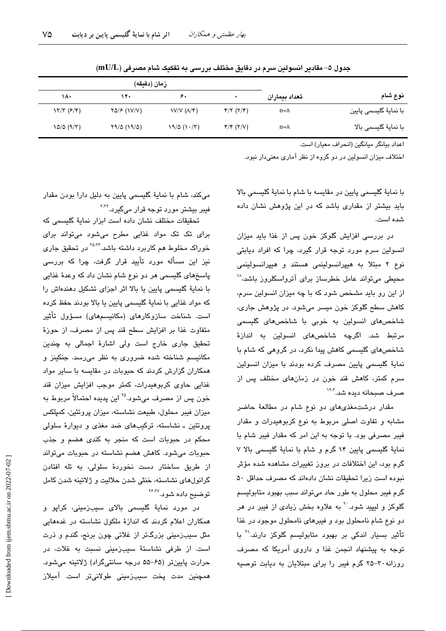|                       | تعداد بيماران | زمان (دقيقه)                                                |                |             |                      |  |
|-----------------------|---------------|-------------------------------------------------------------|----------------|-------------|----------------------|--|
| نوع شام               |               |                                                             | ۶۰             | ۱۲۰         | ۱۸۰                  |  |
| با نمايۀ گليسمى پايين | $n = \Lambda$ | $\mathfrak{r}/\mathfrak{r}$ ( $\mathfrak{r}/\mathfrak{r}$ ) | V/V (A/F)      | YQ/F (VV/V) | $\frac{1}{\sqrt{2}}$ |  |
| با نمايۀ گليسمى بالا  | $n = \Lambda$ | $\mathfrak{r}/\mathfrak{r}$ ( $\mathfrak{r}/\mathfrak{v}$ ) | $19/0$ $(1.7)$ | Y9/0 (19/0) | 10/0 (9/7)           |  |

جدول ۵– مقادیر انسولین سرم در دقایق مختلف بررسی به تفکیک شام مصرفی (mU/L)

اعداد بيانگر ميانگين (انحراف معيار) است.

اختلاف میزان انسولین در دو گروه از نظر آماری معنیدار نبود.

با نمايهٔ گلیسمی پایین در مقایسه با شام با نمایهٔ گلیسمی بالا باید بیشتر از مقداری باشد که در این پژوهش نشان داده شده است.

در بررسی افزایش گلوکز خون پس از غذا باید میزان انسولین سرم مورد توجه قرار گیرد، چرا که افراد دیابتی نوع ۲ مبتلا به هیپرانسولینمی هستند و هیپرانسولینمی محیطی میتواند عامل خطرساز برای آترواسکلروز باشد، ۱ از این رو باید مشخص شود که با چه میزان انسولین سرم، کاهش سطح گلوکز خون میسر میشود. در پژوهش جاری، شاخصهای انسولین به خوبی با شاخصهای گلیسمی مرتبط شد. اگرچه شاخصهای انسولین به اندازهٔ شاخصهای گلیسمی کاهش پیدا نکرد، در گروهی که شام با نمایهٔ گلیسمی پایین مصرف کرده بودند با میزان انسولین سرم کمتر، کاهش قند خون در زمانهای مختلف پس از صرف صبحانه دبده شد. ۱۹۰

مقدار درشتمغذیهای دو نوع شام در مطالعهٔ حاضر مشابه و تفاوت اصلی مربوط به نوع کربوهیدرات و مقدار فیبر مصرفی بود. با توجه به این امر که مقدار فیبر شام با نماية گليسمي پايين ١۴ گرم و شام با نماية گليسمي بالا ٧ گرم بود، این اختلافات در بروز تغییرات مشاهده شده مؤثر نبوده است زیرا تحقیقات نشان دادهاند که مصرف حداقل ۵۰ گرم فیبر محلول به طور حاد میتواند سبب بهبود متابولیسم گلوکز و لیپید شود.<sup>۲۰</sup> به علاوه بخش زیا*دی* از فیبر در هر دو نوع شام نامحلول بود و فیبرهای نامحلول موجود در غذا تأثیر بسیار اندکی بر بهبود متابولیسم گلوکز دارند.<sup>۲۱</sup> با توجه به پیشنهاد انجمن غذا و داروی آمریکا که مصرف روزانه ۳۰-۲۵ گرم فیبر را برای مبتلایان به دیابت توصیه

میکند، شام با نمایهٔ گلیسمی پایین به دلیل دارا بودن مقدار فیبر بیشتر مورد توجه قرار میگیرد.<sup>۳٬۲</sup>

تحقیقات مختلف نشان داده است ایزار نمایهٔ گلسیمی که برای تک تک مواد غذایی مطرح میشود میتواند برای خوراک مخلوط هم کاربرد داشته باشد.<sup>۲۵،۲۴</sup> در تحقیق جار*ی* نیز این مسأله مورد تأیید قرار گرفت، چرا که بررسی پاسخهای گلیسمی هر دو نوع شام نشان داد که وعدهٔ غذایی با نمایهٔ گلیسمی پایین یا بالا اثر اجزای تشکیل دهندهاش را که مواد غذایی با نمایهٔ گلیسمی پایین یا بالا بودند حفظ کرده است. شناخت سازوکارهای (مکانیسمهای) مسؤول تأثیر متفاوت غذا بر افزايش سطح قند پس از مصرف، از حوزهٔ تحقیق جاری خارج است ولی اشارهٔ اجمالی به چندین مکانیسم شناخته شده ضروری به نظر میرسد. جنکینز و همکاران گزارش کردند که حبوبات در مقایسه با سایر مواد غذایی حاوی کربوهیدرات، کمتر موجب افزایش میزان قند خون پس از مصرف میشود.<sup>۲۵</sup> این پدیده احتمالاً مربوط به میزان فیبر محلول، طبیعت نشاسته، میزان پروتئین، کمپلکس پروتئین ـ نشاسته، ترکیبهای ضد مغذی و دیوارهٔ سلولی محکم در حبوبات است که منجر به کندی هضم و جذب حبوبات میشود. کاهش هضم نشاسته در حبوبات میتواند از طریق ساختار دست نخوردهٔ سلولی، به تله افتادن گرانولهای نشاسته، خنثی شدن حلالیت و ژلاتینه شدن کامل توضيح داده شو.د.<sup>۲۶٬۲۷</sup>

در مورد نمایهٔ گلیسمی بالای سیبزمینی، کراپو و همکاران اعلام کردند که اندازهٔ ملکول نشاسته در غدههایی مثل سیبزمینی بزرگتر از غلاتی چون برنج، گندم و ذرت است. از طرفی نشاستهٔ سیبزمینی نسبت به غلات، در حرارت پايينتر (۶۵–۵۵ درجه سانتيگراد) ژلاتينه مي شود. همچنین مدت پخت سیبزمینی طولانیتر است. آمیلاز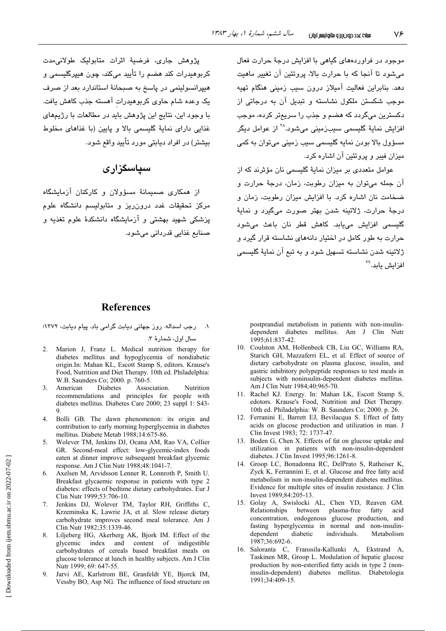موجود در فراوردههای گیاهی با افزایش درجهٔ حرارت فعال می شود تا آنجا که یا جرارت بالا، پروتئین آن تغییر ماهیت دهد. بنابراین فعالیت آمیلاز درون سیب زمینی هنگام تهیه موجب شکستن ملکول نشاسته و تبدیل آن به درجاتی از دکسترین میگردد که هضم و جذب را سریعتر کرده، موجب افزايش نمايهٔ گلي*سمی* سيبزمينی میشود.<sup>۲۸</sup> از عوامل ديگر مسؤول بالا بودن نمايه گليسمي سيب زميني مي،توان به كمي میزان فیبر و پروتئین آن اشاره کرد.

عوامل متعددی پر میزان نمایهٔ گلسیمی نان مؤثرند که از آن جمله می توان به میزان رطوبت، زمان، درجهٔ حرارت و ضخامت نان اشاره کرد. با افزایش میزان رطوبت، زمان و درجهٔ حرارت، ژلاتینه شدن بهتر صورت میگیرد و نمایهٔ گلیسمی افزایش می،یابد. کاهش قطر نان باعث می شود جرارت به طور کامل در اختیار دانههای نشاسته قرار گیرد و ژلاتینه شدن نشاسته تسهیل شود و به تیع آن نمایهٔ گلیسمی افزایش پاید.<sup>۲۹</sup>

يژوهش جاري، فرضيهٔ اثرات متابوليک طولانىمدت کربوهیدرات کند هضم را تأیید میکند، چون هیپرگلیسمی و هیپرانسولینمی در پاسخ به صبحانهٔ استاندارد بعد از صرف یک وعده شام حاوی کربوهیدرات آهسته جذب کاهش یافت. با وجود این، نتایج این پژوهش باید در مطالعات با رژیمهای غذایی دارای نمایهٔ گلیسمی بالا و پایین (با غذاهای مخلوط بیشتر) در افراد دیابتی مورد تأیید واقع شود.

# سیاسگزاری

از همکاری صمیمانهٔ مسؤولان و کارکنان آزمایشگاه .<br>مرکز تحقیقات غدد درون٫ریز و متابولیسم دانشگاه علوم .<br>پزشکی شهید بهشتی و آزمایشگاه دانشکدهٔ علوم تغذیه و صنائع غذائے، قدردانی مے شورد.

## **References**

١. \_ رحِب اسداله. روز جهاني ديابت گرامي باد. پيام ديابت، ١٣٧٢؛

سال اول، شمارهٔ ۳.

- 2. Marion J, Franz L. Medical nutrition therapy for diabetes mellitus and hypoglycemia of nondiabetic origin.In: Mahan KL, Escott Stamp S, editors. Krause's Food, Nutrition and Diet Therapy. 10th ed. Philadelphia: W.B. Saunders Co; 2000. p. 760-5.
- $\mathcal{E}$ American **Diabetes** Association. Nutrition recommendations and principles for people with diabetes mellitus. Diabetes Care 2000; 23 suppl 1: S43-
- Bolli GB. The dawn phenomenon: its origin and  $\overline{4}$ contribution to early morning hyperglycemia in diabetes mellitus. Diabete Metab 1988;14:675-86.
- Wolever TM, Jenkins DJ, Ocana AM, Rao VA, Collier  $5<sup>7</sup>$ GR. Second-meal effect: low-glycemic-index foods eaten at dinner improve subsequent breakfast glycemic response. Am J Clin Nutr 1988;48:1041-7.
- Axelsen M, Arvidsson Lenner R, Lonnroth P, Smith U. Breakfast glycaemic response in patients with type 2 diabetes: effects of bedtime dietary carbohydrates. Eur J Clin Nutr 1999;53:706-10.
- Jenkins DJ, Wolever TM, Taylor RH, Griffiths C,  $7.$ Krzeminska K, Lawrie JA, et al. Slow release dietary carbohydrate improves second meal tolerance. Am J Clin Nutr 1982;35:1339-46.
- 8. Liljeberg HG, Akerberg AK, Bjork IM. Effect of the glycemic index and content of indigestible carbohydrates of cereals based breakfast meals on glucose tolerance at lunch in healthy subjects. Am J Clin Nutr 1999; 69: 647-55.
- 9. Jarvi AE, Karlstrom BE, Granfeldt YE, Bjorck IM, Vessby BO, Asp NG. The influence of food structure on

postprandial metabolism in patients with non-insulindependent diabetes mellitus. Am J Clin Nutr 1995;61:837-42.

- 10. Coulston AM, Hollenbeck CB, Liu GC, Williams RA, Starich GH, Mazzaferri EL, et al. Effect of source of dietary carbohydrate on plasma glucose, insulin, and gastric inhibitory polypeptide responses to test meals in subjects with noninsulin-dependent diabetes mellitus. Am J Clin Nutr 1984;40:965-70.
- 11. Rachel KJ. Energy. In: Mahan LK, Escott Stamp S, edotors. Krause's Food. Nutrition and Diet Therapy. 10th ed. Philadelphia: W. B. Saunders Co; 2000. p. 26.
- 12. Ferranini E, Barrett EJ, Bevilacqua S. Effect of fatty acids on glucose production and utilization in man. J Clin Invest 1983; 72: 1737-47.
- 13. Boden G, Chen X. Effects of fat on glucose uptake and utilization in patients with non-insulin-dependent diabetes. J Clin Invest 1995;96:1261-8.
- 14. Groop LC, Bonadonna RC, DelPrato S, Ratheiser K, Zyck K, Ferrannini E, et al. Glucose and free fatty acid metabolism in non-insulin-dependent diabetes mellitus. Evidence for multiple sites of insulin resistance. J Clin Invest 1989;84:205-13.
- 15. Golay A, Swislocki AL, Chen YD, Reaven GM. Relationships between plasma-free fatty acid concentration, endogenous glucose production, and fasting hyperglycemia in normal and non-insulindependent diabetic individuals. Metabolism 1987;36:692-6.
- 16. Saloranta C, Franssila-Kallunki A, Ekstrand A, Taskinen MR, Groop L. Modulation of hepatic glucose production by non-esterified fatty acids in type 2 (noninsulin-dependent) diabetes mellitus. Diabetologia 1991;34:409-15.